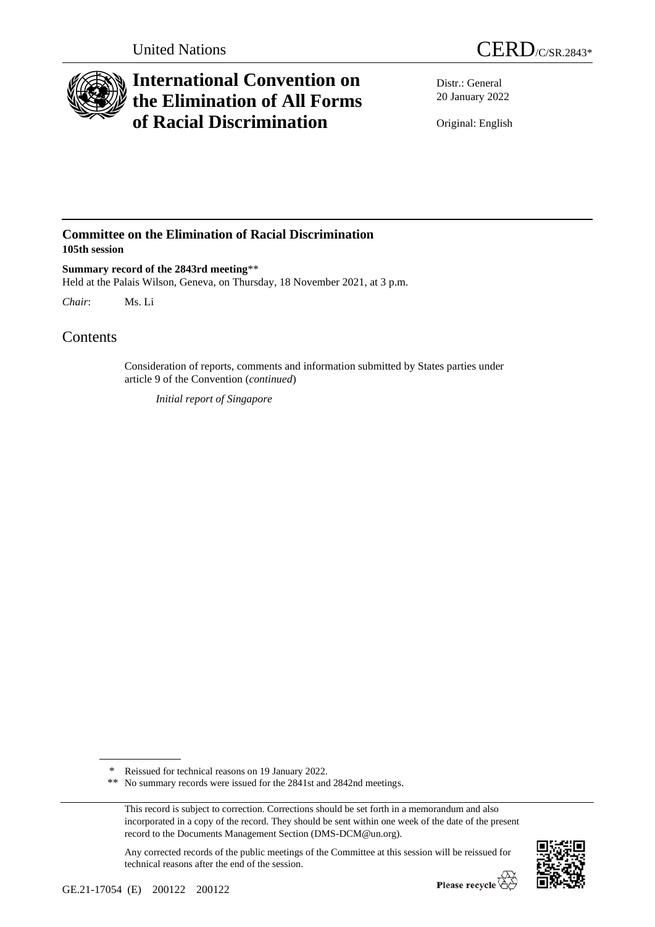



# **International Convention on the Elimination of All Forms of Racial Discrimination**

Distr.: General 20 January 2022

Original: English

### **Committee on the Elimination of Racial Discrimination 105th session**

**Summary record of the 2843rd meeting**\*\* Held at the Palais Wilson, Geneva, on Thursday, 18 November 2021, at 3 p.m.

*Chair*: Ms. Li

## Contents

Consideration of reports, comments and information submitted by States parties under article 9 of the Convention (*continued*)

*Initial report of Singapore*

Any corrected records of the public meetings of the Committee at this session will be reissued for technical reasons after the end of the session.



<sup>\*</sup> Reissued for technical reasons on 19 January 2022.

<sup>\*\*</sup> No summary records were issued for the 2841st and 2842nd meetings.

This record is subject to correction. Corrections should be set forth in a memorandum and also incorporated in a copy of the record. They should be sent within one week of the date of the present record to the Documents Management Section (DMS-DCM@un.org).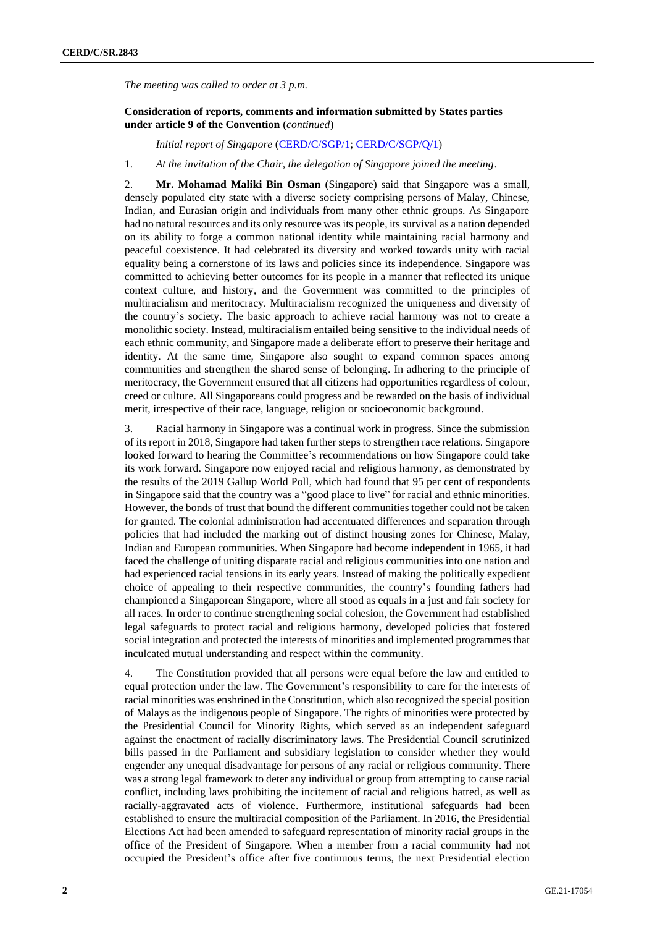*The meeting was called to order at 3 p.m.*

#### **Consideration of reports, comments and information submitted by States parties under article 9 of the Convention** (*continued*)

*Initial report of Singapore* [\(CERD/C/SGP/1;](http://undocs.org/en/CERD/C/SGP/1) [CERD/C/SGP/Q/1\)](http://undocs.org/en/CERD/C/SGP/Q/1)

1. *At the invitation of the Chair, the delegation of Singapore joined the meeting*.

2. **Mr. Mohamad Maliki Bin Osman** (Singapore) said that Singapore was a small, densely populated city state with a diverse society comprising persons of Malay, Chinese, Indian, and Eurasian origin and individuals from many other ethnic groups. As Singapore had no natural resources and its only resource was its people, its survival as a nation depended on its ability to forge a common national identity while maintaining racial harmony and peaceful coexistence. It had celebrated its diversity and worked towards unity with racial equality being a cornerstone of its laws and policies since its independence. Singapore was committed to achieving better outcomes for its people in a manner that reflected its unique context culture, and history, and the Government was committed to the principles of multiracialism and meritocracy. Multiracialism recognized the uniqueness and diversity of the country's society. The basic approach to achieve racial harmony was not to create a monolithic society. Instead, multiracialism entailed being sensitive to the individual needs of each ethnic community, and Singapore made a deliberate effort to preserve their heritage and identity. At the same time, Singapore also sought to expand common spaces among communities and strengthen the shared sense of belonging. In adhering to the principle of meritocracy, the Government ensured that all citizens had opportunities regardless of colour, creed or culture. All Singaporeans could progress and be rewarded on the basis of individual merit, irrespective of their race, language, religion or socioeconomic background.

3. Racial harmony in Singapore was a continual work in progress. Since the submission of its report in 2018, Singapore had taken further steps to strengthen race relations. Singapore looked forward to hearing the Committee's recommendations on how Singapore could take its work forward. Singapore now enjoyed racial and religious harmony, as demonstrated by the results of the 2019 Gallup World Poll, which had found that 95 per cent of respondents in Singapore said that the country was a "good place to live" for racial and ethnic minorities. However, the bonds of trust that bound the different communities together could not be taken for granted. The colonial administration had accentuated differences and separation through policies that had included the marking out of distinct housing zones for Chinese, Malay, Indian and European communities. When Singapore had become independent in 1965, it had faced the challenge of uniting disparate racial and religious communities into one nation and had experienced racial tensions in its early years. Instead of making the politically expedient choice of appealing to their respective communities, the country's founding fathers had championed a Singaporean Singapore, where all stood as equals in a just and fair society for all races. In order to continue strengthening social cohesion, the Government had established legal safeguards to protect racial and religious harmony, developed policies that fostered social integration and protected the interests of minorities and implemented programmes that inculcated mutual understanding and respect within the community.

4. The Constitution provided that all persons were equal before the law and entitled to equal protection under the law. The Government's responsibility to care for the interests of racial minorities was enshrined in the Constitution, which also recognized the special position of Malays as the indigenous people of Singapore. The rights of minorities were protected by the Presidential Council for Minority Rights, which served as an independent safeguard against the enactment of racially discriminatory laws. The Presidential Council scrutinized bills passed in the Parliament and subsidiary legislation to consider whether they would engender any unequal disadvantage for persons of any racial or religious community. There was a strong legal framework to deter any individual or group from attempting to cause racial conflict, including laws prohibiting the incitement of racial and religious hatred, as well as racially-aggravated acts of violence. Furthermore, institutional safeguards had been established to ensure the multiracial composition of the Parliament. In 2016, the Presidential Elections Act had been amended to safeguard representation of minority racial groups in the office of the President of Singapore. When a member from a racial community had not occupied the President's office after five continuous terms, the next Presidential election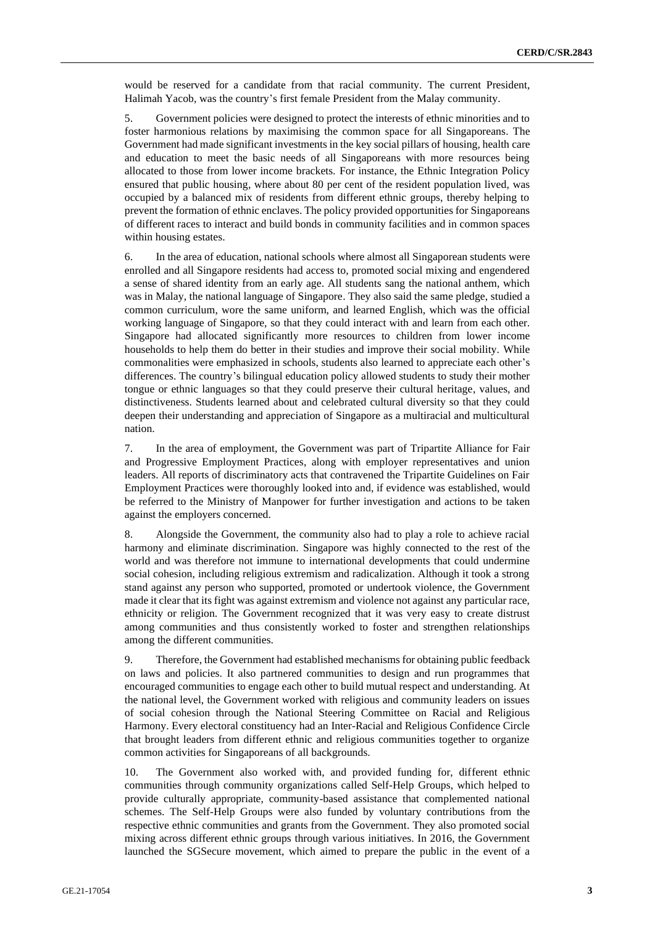would be reserved for a candidate from that racial community. The current President, Halimah Yacob, was the country's first female President from the Malay community.

5. Government policies were designed to protect the interests of ethnic minorities and to foster harmonious relations by maximising the common space for all Singaporeans. The Government had made significant investments in the key social pillars of housing, health care and education to meet the basic needs of all Singaporeans with more resources being allocated to those from lower income brackets. For instance, the Ethnic Integration Policy ensured that public housing, where about 80 per cent of the resident population lived, was occupied by a balanced mix of residents from different ethnic groups, thereby helping to prevent the formation of ethnic enclaves. The policy provided opportunities for Singaporeans of different races to interact and build bonds in community facilities and in common spaces within housing estates.

6. In the area of education, national schools where almost all Singaporean students were enrolled and all Singapore residents had access to, promoted social mixing and engendered a sense of shared identity from an early age. All students sang the national anthem, which was in Malay, the national language of Singapore. They also said the same pledge, studied a common curriculum, wore the same uniform, and learned English, which was the official working language of Singapore, so that they could interact with and learn from each other. Singapore had allocated significantly more resources to children from lower income households to help them do better in their studies and improve their social mobility. While commonalities were emphasized in schools, students also learned to appreciate each other's differences. The country's bilingual education policy allowed students to study their mother tongue or ethnic languages so that they could preserve their cultural heritage, values, and distinctiveness. Students learned about and celebrated cultural diversity so that they could deepen their understanding and appreciation of Singapore as a multiracial and multicultural nation.

7. In the area of employment, the Government was part of Tripartite Alliance for Fair and Progressive Employment Practices, along with employer representatives and union leaders. All reports of discriminatory acts that contravened the Tripartite Guidelines on Fair Employment Practices were thoroughly looked into and, if evidence was established, would be referred to the Ministry of Manpower for further investigation and actions to be taken against the employers concerned.

8. Alongside the Government, the community also had to play a role to achieve racial harmony and eliminate discrimination. Singapore was highly connected to the rest of the world and was therefore not immune to international developments that could undermine social cohesion, including religious extremism and radicalization. Although it took a strong stand against any person who supported, promoted or undertook violence, the Government made it clear that its fight was against extremism and violence not against any particular race, ethnicity or religion. The Government recognized that it was very easy to create distrust among communities and thus consistently worked to foster and strengthen relationships among the different communities.

9. Therefore, the Government had established mechanisms for obtaining public feedback on laws and policies. It also partnered communities to design and run programmes that encouraged communities to engage each other to build mutual respect and understanding. At the national level, the Government worked with religious and community leaders on issues of social cohesion through the National Steering Committee on Racial and Religious Harmony. Every electoral constituency had an Inter-Racial and Religious Confidence Circle that brought leaders from different ethnic and religious communities together to organize common activities for Singaporeans of all backgrounds.

10. The Government also worked with, and provided funding for, different ethnic communities through community organizations called Self-Help Groups, which helped to provide culturally appropriate, community-based assistance that complemented national schemes. The Self-Help Groups were also funded by voluntary contributions from the respective ethnic communities and grants from the Government. They also promoted social mixing across different ethnic groups through various initiatives. In 2016, the Government launched the SGSecure movement, which aimed to prepare the public in the event of a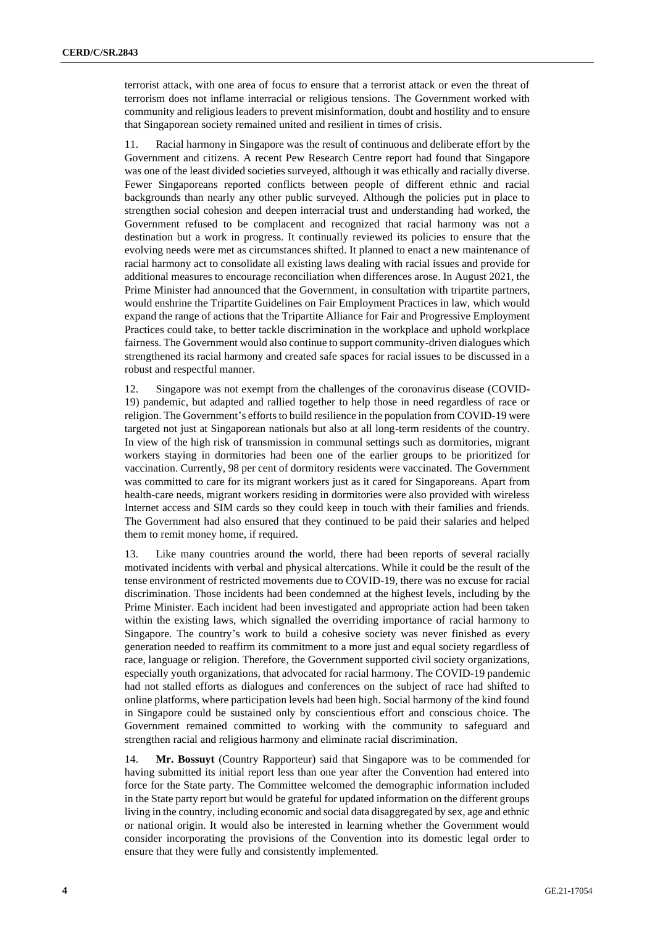terrorist attack, with one area of focus to ensure that a terrorist attack or even the threat of terrorism does not inflame interracial or religious tensions. The Government worked with community and religious leaders to prevent misinformation, doubt and hostility and to ensure that Singaporean society remained united and resilient in times of crisis.

11. Racial harmony in Singapore was the result of continuous and deliberate effort by the Government and citizens. A recent Pew Research Centre report had found that Singapore was one of the least divided societies surveyed, although it was ethically and racially diverse. Fewer Singaporeans reported conflicts between people of different ethnic and racial backgrounds than nearly any other public surveyed. Although the policies put in place to strengthen social cohesion and deepen interracial trust and understanding had worked, the Government refused to be complacent and recognized that racial harmony was not a destination but a work in progress. It continually reviewed its policies to ensure that the evolving needs were met as circumstances shifted. It planned to enact a new maintenance of racial harmony act to consolidate all existing laws dealing with racial issues and provide for additional measures to encourage reconciliation when differences arose. In August 2021, the Prime Minister had announced that the Government, in consultation with tripartite partners, would enshrine the Tripartite Guidelines on Fair Employment Practices in law, which would expand the range of actions that the Tripartite Alliance for Fair and Progressive Employment Practices could take, to better tackle discrimination in the workplace and uphold workplace fairness. The Government would also continue to support community-driven dialogues which strengthened its racial harmony and created safe spaces for racial issues to be discussed in a robust and respectful manner.

12. Singapore was not exempt from the challenges of the coronavirus disease (COVID-19) pandemic, but adapted and rallied together to help those in need regardless of race or religion. The Government's efforts to build resilience in the population from COVID-19 were targeted not just at Singaporean nationals but also at all long-term residents of the country. In view of the high risk of transmission in communal settings such as dormitories, migrant workers staying in dormitories had been one of the earlier groups to be prioritized for vaccination. Currently, 98 per cent of dormitory residents were vaccinated. The Government was committed to care for its migrant workers just as it cared for Singaporeans. Apart from health-care needs, migrant workers residing in dormitories were also provided with wireless Internet access and SIM cards so they could keep in touch with their families and friends. The Government had also ensured that they continued to be paid their salaries and helped them to remit money home, if required.

13. Like many countries around the world, there had been reports of several racially motivated incidents with verbal and physical altercations. While it could be the result of the tense environment of restricted movements due to COVID-19, there was no excuse for racial discrimination. Those incidents had been condemned at the highest levels, including by the Prime Minister. Each incident had been investigated and appropriate action had been taken within the existing laws, which signalled the overriding importance of racial harmony to Singapore. The country's work to build a cohesive society was never finished as every generation needed to reaffirm its commitment to a more just and equal society regardless of race, language or religion. Therefore, the Government supported civil society organizations, especially youth organizations, that advocated for racial harmony. The COVID-19 pandemic had not stalled efforts as dialogues and conferences on the subject of race had shifted to online platforms, where participation levels had been high. Social harmony of the kind found in Singapore could be sustained only by conscientious effort and conscious choice. The Government remained committed to working with the community to safeguard and strengthen racial and religious harmony and eliminate racial discrimination.

14. **Mr. Bossuyt** (Country Rapporteur) said that Singapore was to be commended for having submitted its initial report less than one year after the Convention had entered into force for the State party. The Committee welcomed the demographic information included in the State party report but would be grateful for updated information on the different groups living in the country, including economic and social data disaggregated by sex, age and ethnic or national origin. It would also be interested in learning whether the Government would consider incorporating the provisions of the Convention into its domestic legal order to ensure that they were fully and consistently implemented.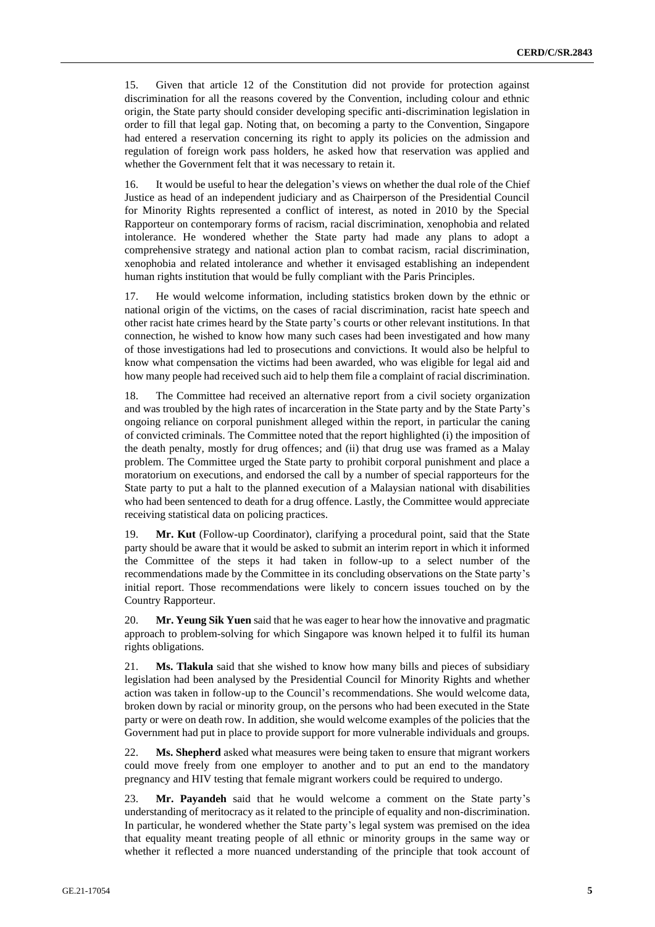15. Given that article 12 of the Constitution did not provide for protection against discrimination for all the reasons covered by the Convention, including colour and ethnic origin, the State party should consider developing specific anti-discrimination legislation in order to fill that legal gap. Noting that, on becoming a party to the Convention, Singapore had entered a reservation concerning its right to apply its policies on the admission and regulation of foreign work pass holders, he asked how that reservation was applied and whether the Government felt that it was necessary to retain it.

16. It would be useful to hear the delegation's views on whether the dual role of the Chief Justice as head of an independent judiciary and as Chairperson of the Presidential Council for Minority Rights represented a conflict of interest, as noted in 2010 by the Special Rapporteur on contemporary forms of racism, racial discrimination, xenophobia and related intolerance. He wondered whether the State party had made any plans to adopt a comprehensive strategy and national action plan to combat racism, racial discrimination, xenophobia and related intolerance and whether it envisaged establishing an independent human rights institution that would be fully compliant with the Paris Principles.

17. He would welcome information, including statistics broken down by the ethnic or national origin of the victims, on the cases of racial discrimination, racist hate speech and other racist hate crimes heard by the State party's courts or other relevant institutions. In that connection, he wished to know how many such cases had been investigated and how many of those investigations had led to prosecutions and convictions. It would also be helpful to know what compensation the victims had been awarded, who was eligible for legal aid and how many people had received such aid to help them file a complaint of racial discrimination.

18. The Committee had received an alternative report from a civil society organization and was troubled by the high rates of incarceration in the State party and by the State Party's ongoing reliance on corporal punishment alleged within the report, in particular the caning of convicted criminals. The Committee noted that the report highlighted (i) the imposition of the death penalty, mostly for drug offences; and (ii) that drug use was framed as a Malay problem. The Committee urged the State party to prohibit corporal punishment and place a moratorium on executions, and endorsed the call by a number of special rapporteurs for the State party to put a halt to the planned execution of a Malaysian national with disabilities who had been sentenced to death for a drug offence. Lastly, the Committee would appreciate receiving statistical data on policing practices.

19. **Mr. Kut** (Follow-up Coordinator), clarifying a procedural point, said that the State party should be aware that it would be asked to submit an interim report in which it informed the Committee of the steps it had taken in follow-up to a select number of the recommendations made by the Committee in its concluding observations on the State party's initial report. Those recommendations were likely to concern issues touched on by the Country Rapporteur.

20. **Mr. Yeung Sik Yuen** said that he was eager to hear how the innovative and pragmatic approach to problem-solving for which Singapore was known helped it to fulfil its human rights obligations.

21. **Ms. Tlakula** said that she wished to know how many bills and pieces of subsidiary legislation had been analysed by the Presidential Council for Minority Rights and whether action was taken in follow-up to the Council's recommendations. She would welcome data, broken down by racial or minority group, on the persons who had been executed in the State party or were on death row. In addition, she would welcome examples of the policies that the Government had put in place to provide support for more vulnerable individuals and groups.

22. **Ms. Shepherd** asked what measures were being taken to ensure that migrant workers could move freely from one employer to another and to put an end to the mandatory pregnancy and HIV testing that female migrant workers could be required to undergo.

23. **Mr. Payandeh** said that he would welcome a comment on the State party's understanding of meritocracy as it related to the principle of equality and non-discrimination. In particular, he wondered whether the State party's legal system was premised on the idea that equality meant treating people of all ethnic or minority groups in the same way or whether it reflected a more nuanced understanding of the principle that took account of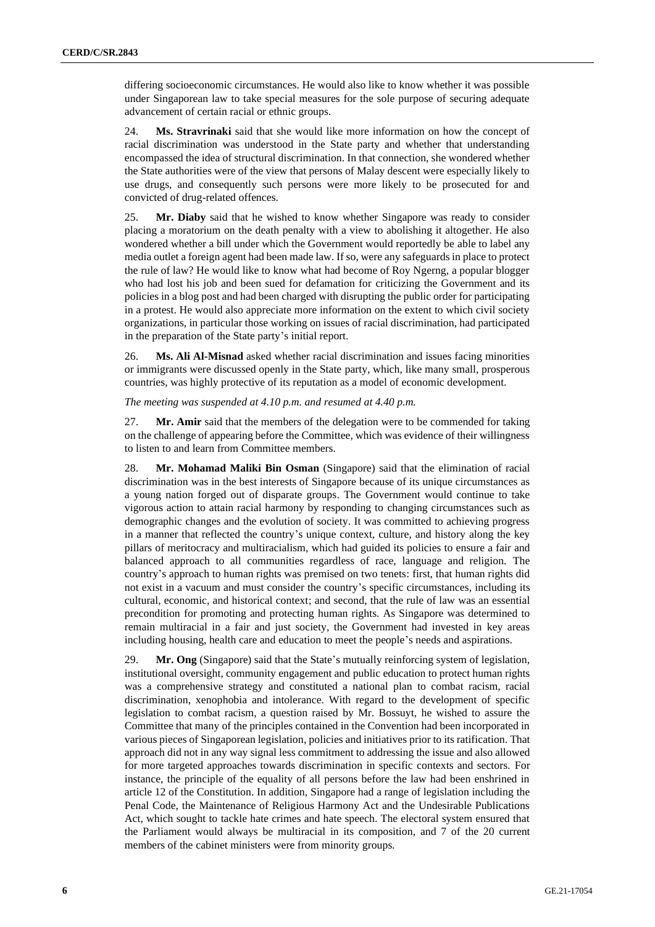differing socioeconomic circumstances. He would also like to know whether it was possible under Singaporean law to take special measures for the sole purpose of securing adequate advancement of certain racial or ethnic groups.

24. **Ms. Stravrinaki** said that she would like more information on how the concept of racial discrimination was understood in the State party and whether that understanding encompassed the idea of structural discrimination. In that connection, she wondered whether the State authorities were of the view that persons of Malay descent were especially likely to use drugs, and consequently such persons were more likely to be prosecuted for and convicted of drug-related offences.

25. **Mr. Diaby** said that he wished to know whether Singapore was ready to consider placing a moratorium on the death penalty with a view to abolishing it altogether. He also wondered whether a bill under which the Government would reportedly be able to label any media outlet a foreign agent had been made law. If so, were any safeguards in place to protect the rule of law? He would like to know what had become of Roy Ngerng, a popular blogger who had lost his job and been sued for defamation for criticizing the Government and its policies in a blog post and had been charged with disrupting the public order for participating in a protest. He would also appreciate more information on the extent to which civil society organizations, in particular those working on issues of racial discrimination, had participated in the preparation of the State party's initial report.

26. **Ms. Ali Al-Misnad** asked whether racial discrimination and issues facing minorities or immigrants were discussed openly in the State party, which, like many small, prosperous countries, was highly protective of its reputation as a model of economic development.

### *The meeting was suspended at 4.10 p.m. and resumed at 4.40 p.m.*

27. **Mr. Amir** said that the members of the delegation were to be commended for taking on the challenge of appearing before the Committee, which was evidence of their willingness to listen to and learn from Committee members.

28. **Mr. Mohamad Maliki Bin Osman** (Singapore) said that the elimination of racial discrimination was in the best interests of Singapore because of its unique circumstances as a young nation forged out of disparate groups. The Government would continue to take vigorous action to attain racial harmony by responding to changing circumstances such as demographic changes and the evolution of society. It was committed to achieving progress in a manner that reflected the country's unique context, culture, and history along the key pillars of meritocracy and multiracialism, which had guided its policies to ensure a fair and balanced approach to all communities regardless of race, language and religion. The country's approach to human rights was premised on two tenets: first, that human rights did not exist in a vacuum and must consider the country's specific circumstances, including its cultural, economic, and historical context; and second, that the rule of law was an essential precondition for promoting and protecting human rights. As Singapore was determined to remain multiracial in a fair and just society, the Government had invested in key areas including housing, health care and education to meet the people's needs and aspirations.

29. **Mr. Ong** (Singapore) said that the State's mutually reinforcing system of legislation, institutional oversight, community engagement and public education to protect human rights was a comprehensive strategy and constituted a national plan to combat racism, racial discrimination, xenophobia and intolerance. With regard to the development of specific legislation to combat racism, a question raised by Mr. Bossuyt, he wished to assure the Committee that many of the principles contained in the Convention had been incorporated in various pieces of Singaporean legislation, policies and initiatives prior to its ratification. That approach did not in any way signal less commitment to addressing the issue and also allowed for more targeted approaches towards discrimination in specific contexts and sectors. For instance, the principle of the equality of all persons before the law had been enshrined in article 12 of the Constitution. In addition, Singapore had a range of legislation including the Penal Code, the Maintenance of Religious Harmony Act and the Undesirable Publications Act, which sought to tackle hate crimes and hate speech. The electoral system ensured that the Parliament would always be multiracial in its composition, and 7 of the 20 current members of the cabinet ministers were from minority groups.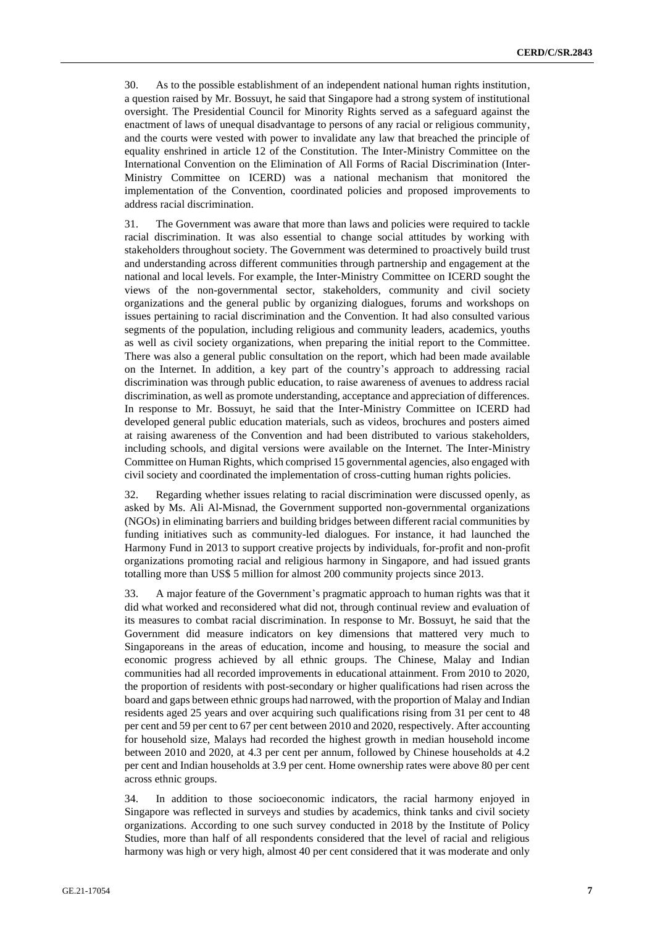30. As to the possible establishment of an independent national human rights institution, a question raised by Mr. Bossuyt, he said that Singapore had a strong system of institutional oversight. The Presidential Council for Minority Rights served as a safeguard against the enactment of laws of unequal disadvantage to persons of any racial or religious community, and the courts were vested with power to invalidate any law that breached the principle of equality enshrined in article 12 of the Constitution. The Inter-Ministry Committee on the International Convention on the Elimination of All Forms of Racial Discrimination (Inter-Ministry Committee on ICERD) was a national mechanism that monitored the implementation of the Convention, coordinated policies and proposed improvements to address racial discrimination.

31. The Government was aware that more than laws and policies were required to tackle racial discrimination. It was also essential to change social attitudes by working with stakeholders throughout society. The Government was determined to proactively build trust and understanding across different communities through partnership and engagement at the national and local levels. For example, the Inter-Ministry Committee on ICERD sought the views of the non-governmental sector, stakeholders, community and civil society organizations and the general public by organizing dialogues, forums and workshops on issues pertaining to racial discrimination and the Convention. It had also consulted various segments of the population, including religious and community leaders, academics, youths as well as civil society organizations, when preparing the initial report to the Committee. There was also a general public consultation on the report, which had been made available on the Internet. In addition, a key part of the country's approach to addressing racial discrimination was through public education, to raise awareness of avenues to address racial discrimination, as well as promote understanding, acceptance and appreciation of differences. In response to Mr. Bossuyt, he said that the Inter-Ministry Committee on ICERD had developed general public education materials, such as videos, brochures and posters aimed at raising awareness of the Convention and had been distributed to various stakeholders, including schools, and digital versions were available on the Internet. The Inter-Ministry Committee on Human Rights, which comprised 15 governmental agencies, also engaged with civil society and coordinated the implementation of cross-cutting human rights policies.

32. Regarding whether issues relating to racial discrimination were discussed openly, as asked by Ms. Ali Al-Misnad, the Government supported non-governmental organizations (NGOs) in eliminating barriers and building bridges between different racial communities by funding initiatives such as community-led dialogues. For instance, it had launched the Harmony Fund in 2013 to support creative projects by individuals, for-profit and non-profit organizations promoting racial and religious harmony in Singapore, and had issued grants totalling more than US\$ 5 million for almost 200 community projects since 2013.

33. A major feature of the Government's pragmatic approach to human rights was that it did what worked and reconsidered what did not, through continual review and evaluation of its measures to combat racial discrimination. In response to Mr. Bossuyt, he said that the Government did measure indicators on key dimensions that mattered very much to Singaporeans in the areas of education, income and housing, to measure the social and economic progress achieved by all ethnic groups. The Chinese, Malay and Indian communities had all recorded improvements in educational attainment. From 2010 to 2020, the proportion of residents with post-secondary or higher qualifications had risen across the board and gaps between ethnic groups had narrowed, with the proportion of Malay and Indian residents aged 25 years and over acquiring such qualifications rising from 31 per cent to 48 per cent and 59 per cent to 67 per cent between 2010 and 2020, respectively. After accounting for household size, Malays had recorded the highest growth in median household income between 2010 and 2020, at 4.3 per cent per annum, followed by Chinese households at 4.2 per cent and Indian households at 3.9 per cent. Home ownership rates were above 80 per cent across ethnic groups.

34. In addition to those socioeconomic indicators, the racial harmony enjoyed in Singapore was reflected in surveys and studies by academics, think tanks and civil society organizations. According to one such survey conducted in 2018 by the Institute of Policy Studies, more than half of all respondents considered that the level of racial and religious harmony was high or very high, almost 40 per cent considered that it was moderate and only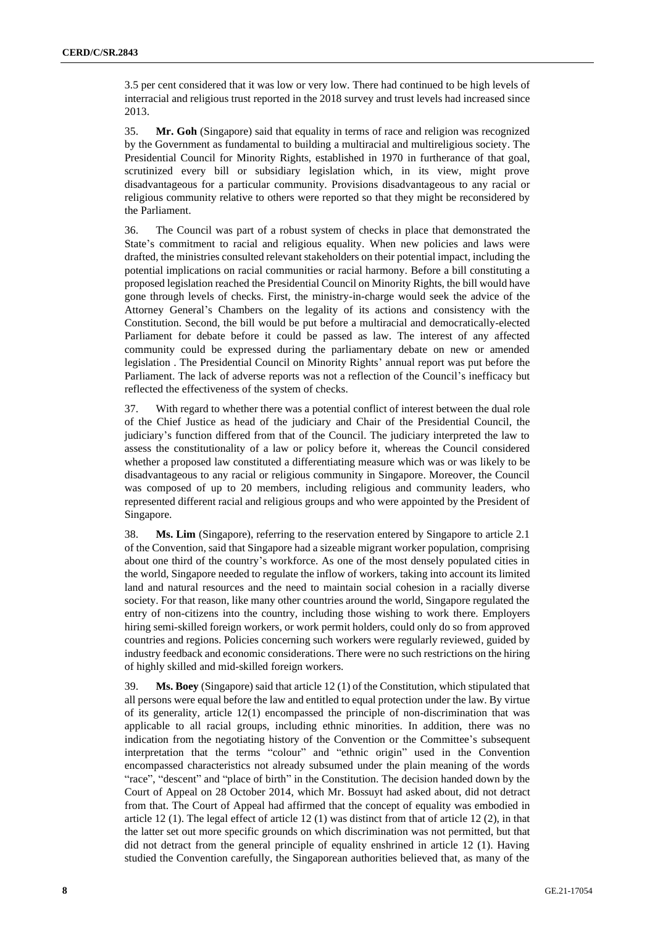3.5 per cent considered that it was low or very low. There had continued to be high levels of interracial and religious trust reported in the 2018 survey and trust levels had increased since 2013.

35. **Mr. Goh** (Singapore) said that equality in terms of race and religion was recognized by the Government as fundamental to building a multiracial and multireligious society. The Presidential Council for Minority Rights, established in 1970 in furtherance of that goal, scrutinized every bill or subsidiary legislation which, in its view, might prove disadvantageous for a particular community. Provisions disadvantageous to any racial or religious community relative to others were reported so that they might be reconsidered by the Parliament.

36. The Council was part of a robust system of checks in place that demonstrated the State's commitment to racial and religious equality. When new policies and laws were drafted, the ministries consulted relevant stakeholders on their potential impact, including the potential implications on racial communities or racial harmony. Before a bill constituting a proposed legislation reached the Presidential Council on Minority Rights, the bill would have gone through levels of checks. First, the ministry-in-charge would seek the advice of the Attorney General's Chambers on the legality of its actions and consistency with the Constitution. Second, the bill would be put before a multiracial and democratically-elected Parliament for debate before it could be passed as law. The interest of any affected community could be expressed during the parliamentary debate on new or amended legislation . The Presidential Council on Minority Rights' annual report was put before the Parliament. The lack of adverse reports was not a reflection of the Council's inefficacy but reflected the effectiveness of the system of checks.

37. With regard to whether there was a potential conflict of interest between the dual role of the Chief Justice as head of the judiciary and Chair of the Presidential Council, the judiciary's function differed from that of the Council. The judiciary interpreted the law to assess the constitutionality of a law or policy before it, whereas the Council considered whether a proposed law constituted a differentiating measure which was or was likely to be disadvantageous to any racial or religious community in Singapore. Moreover, the Council was composed of up to 20 members, including religious and community leaders, who represented different racial and religious groups and who were appointed by the President of Singapore.

38. **Ms. Lim** (Singapore), referring to the reservation entered by Singapore to article 2.1 of the Convention, said that Singapore had a sizeable migrant worker population, comprising about one third of the country's workforce. As one of the most densely populated cities in the world, Singapore needed to regulate the inflow of workers, taking into account its limited land and natural resources and the need to maintain social cohesion in a racially diverse society. For that reason, like many other countries around the world, Singapore regulated the entry of non-citizens into the country, including those wishing to work there. Employers hiring semi-skilled foreign workers, or work permit holders, could only do so from approved countries and regions. Policies concerning such workers were regularly reviewed, guided by industry feedback and economic considerations. There were no such restrictions on the hiring of highly skilled and mid-skilled foreign workers.

39. **Ms. Boey** (Singapore) said that article 12 (1) of the Constitution, which stipulated that all persons were equal before the law and entitled to equal protection under the law. By virtue of its generality, article 12(1) encompassed the principle of non-discrimination that was applicable to all racial groups, including ethnic minorities. In addition, there was no indication from the negotiating history of the Convention or the Committee's subsequent interpretation that the terms "colour" and "ethnic origin" used in the Convention encompassed characteristics not already subsumed under the plain meaning of the words "race", "descent" and "place of birth" in the Constitution. The decision handed down by the Court of Appeal on 28 October 2014, which Mr. Bossuyt had asked about, did not detract from that. The Court of Appeal had affirmed that the concept of equality was embodied in article 12 (1). The legal effect of article 12 (1) was distinct from that of article 12 (2), in that the latter set out more specific grounds on which discrimination was not permitted, but that did not detract from the general principle of equality enshrined in article 12 (1). Having studied the Convention carefully, the Singaporean authorities believed that, as many of the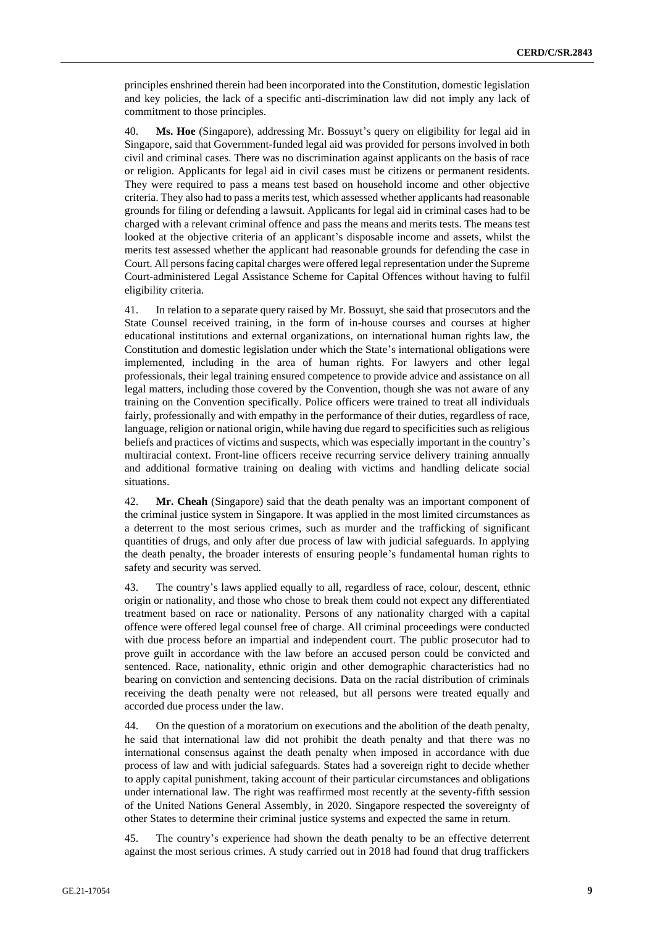principles enshrined therein had been incorporated into the Constitution, domestic legislation and key policies, the lack of a specific anti-discrimination law did not imply any lack of commitment to those principles.

40. **Ms. Hoe** (Singapore), addressing Mr. Bossuyt's query on eligibility for legal aid in Singapore, said that Government-funded legal aid was provided for persons involved in both civil and criminal cases. There was no discrimination against applicants on the basis of race or religion. Applicants for legal aid in civil cases must be citizens or permanent residents. They were required to pass a means test based on household income and other objective criteria. They also had to pass a merits test, which assessed whether applicants had reasonable grounds for filing or defending a lawsuit. Applicants for legal aid in criminal cases had to be charged with a relevant criminal offence and pass the means and merits tests. The means test looked at the objective criteria of an applicant's disposable income and assets, whilst the merits test assessed whether the applicant had reasonable grounds for defending the case in Court. All persons facing capital charges were offered legal representation under the Supreme Court-administered Legal Assistance Scheme for Capital Offences without having to fulfil eligibility criteria.

41. In relation to a separate query raised by Mr. Bossuyt, she said that prosecutors and the State Counsel received training, in the form of in-house courses and courses at higher educational institutions and external organizations, on international human rights law, the Constitution and domestic legislation under which the State's international obligations were implemented, including in the area of human rights. For lawyers and other legal professionals, their legal training ensured competence to provide advice and assistance on all legal matters, including those covered by the Convention, though she was not aware of any training on the Convention specifically. Police officers were trained to treat all individuals fairly, professionally and with empathy in the performance of their duties, regardless of race, language, religion or national origin, while having due regard to specificities such as religious beliefs and practices of victims and suspects, which was especially important in the country's multiracial context. Front-line officers receive recurring service delivery training annually and additional formative training on dealing with victims and handling delicate social situations.

42. **Mr. Cheah** (Singapore) said that the death penalty was an important component of the criminal justice system in Singapore. It was applied in the most limited circumstances as a deterrent to the most serious crimes, such as murder and the trafficking of significant quantities of drugs, and only after due process of law with judicial safeguards. In applying the death penalty, the broader interests of ensuring people's fundamental human rights to safety and security was served.

43. The country's laws applied equally to all, regardless of race, colour, descent, ethnic origin or nationality, and those who chose to break them could not expect any differentiated treatment based on race or nationality. Persons of any nationality charged with a capital offence were offered legal counsel free of charge. All criminal proceedings were conducted with due process before an impartial and independent court. The public prosecutor had to prove guilt in accordance with the law before an accused person could be convicted and sentenced. Race, nationality, ethnic origin and other demographic characteristics had no bearing on conviction and sentencing decisions. Data on the racial distribution of criminals receiving the death penalty were not released, but all persons were treated equally and accorded due process under the law.

44. On the question of a moratorium on executions and the abolition of the death penalty, he said that international law did not prohibit the death penalty and that there was no international consensus against the death penalty when imposed in accordance with due process of law and with judicial safeguards. States had a sovereign right to decide whether to apply capital punishment, taking account of their particular circumstances and obligations under international law. The right was reaffirmed most recently at the seventy-fifth session of the United Nations General Assembly, in 2020. Singapore respected the sovereignty of other States to determine their criminal justice systems and expected the same in return.

45. The country's experience had shown the death penalty to be an effective deterrent against the most serious crimes. A study carried out in 2018 had found that drug traffickers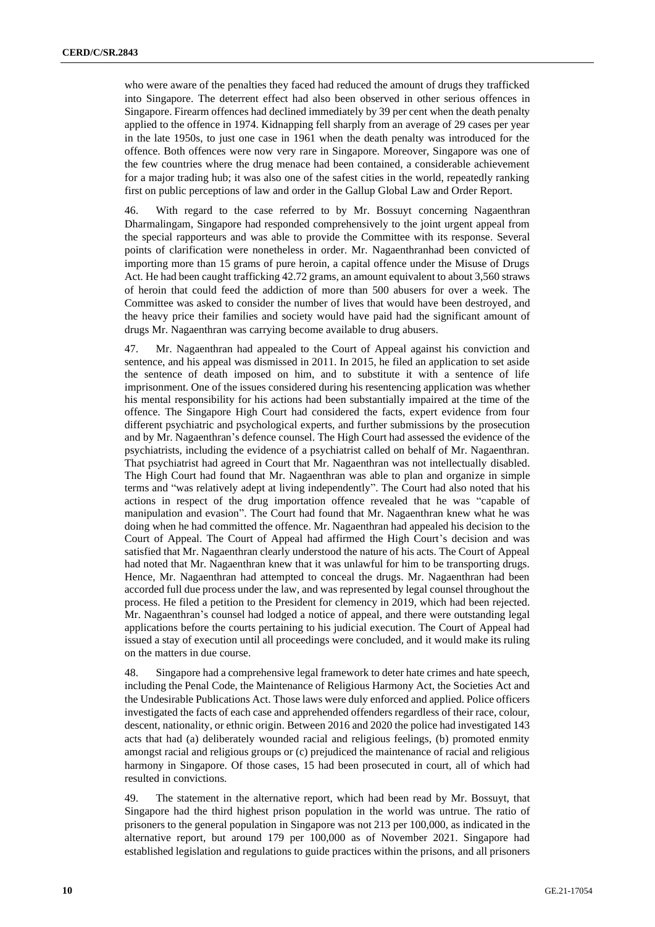who were aware of the penalties they faced had reduced the amount of drugs they trafficked into Singapore. The deterrent effect had also been observed in other serious offences in Singapore. Firearm offences had declined immediately by 39 per cent when the death penalty applied to the offence in 1974. Kidnapping fell sharply from an average of 29 cases per year in the late 1950s, to just one case in 1961 when the death penalty was introduced for the offence. Both offences were now very rare in Singapore. Moreover, Singapore was one of the few countries where the drug menace had been contained, a considerable achievement for a major trading hub; it was also one of the safest cities in the world, repeatedly ranking first on public perceptions of law and order in the Gallup Global Law and Order Report.

46. With regard to the case referred to by Mr. Bossuyt concerning Nagaenthran Dharmalingam, Singapore had responded comprehensively to the joint urgent appeal from the special rapporteurs and was able to provide the Committee with its response. Several points of clarification were nonetheless in order. Mr. Nagaenthranhad been convicted of importing more than 15 grams of pure heroin, a capital offence under the Misuse of Drugs Act. He had been caught trafficking 42.72 grams, an amount equivalent to about 3,560 straws of heroin that could feed the addiction of more than 500 abusers for over a week. The Committee was asked to consider the number of lives that would have been destroyed, and the heavy price their families and society would have paid had the significant amount of drugs Mr. Nagaenthran was carrying become available to drug abusers.

47. Mr. Nagaenthran had appealed to the Court of Appeal against his conviction and sentence, and his appeal was dismissed in 2011. In 2015, he filed an application to set aside the sentence of death imposed on him, and to substitute it with a sentence of life imprisonment. One of the issues considered during his resentencing application was whether his mental responsibility for his actions had been substantially impaired at the time of the offence. The Singapore High Court had considered the facts, expert evidence from four different psychiatric and psychological experts, and further submissions by the prosecution and by Mr. Nagaenthran's defence counsel. The High Court had assessed the evidence of the psychiatrists, including the evidence of a psychiatrist called on behalf of Mr. Nagaenthran. That psychiatrist had agreed in Court that Mr. Nagaenthran was not intellectually disabled. The High Court had found that Mr. Nagaenthran was able to plan and organize in simple terms and "was relatively adept at living independently". The Court had also noted that his actions in respect of the drug importation offence revealed that he was "capable of manipulation and evasion". The Court had found that Mr. Nagaenthran knew what he was doing when he had committed the offence. Mr. Nagaenthran had appealed his decision to the Court of Appeal. The Court of Appeal had affirmed the High Court's decision and was satisfied that Mr. Nagaenthran clearly understood the nature of his acts. The Court of Appeal had noted that Mr. Nagaenthran knew that it was unlawful for him to be transporting drugs. Hence, Mr. Nagaenthran had attempted to conceal the drugs. Mr. Nagaenthran had been accorded full due process under the law, and was represented by legal counsel throughout the process. He filed a petition to the President for clemency in 2019, which had been rejected. Mr. Nagaenthran's counsel had lodged a notice of appeal, and there were outstanding legal applications before the courts pertaining to his judicial execution. The Court of Appeal had issued a stay of execution until all proceedings were concluded, and it would make its ruling on the matters in due course.

48. Singapore had a comprehensive legal framework to deter hate crimes and hate speech, including the Penal Code, the Maintenance of Religious Harmony Act, the Societies Act and the Undesirable Publications Act. Those laws were duly enforced and applied. Police officers investigated the facts of each case and apprehended offenders regardless of their race, colour, descent, nationality, or ethnic origin. Between 2016 and 2020 the police had investigated 143 acts that had (a) deliberately wounded racial and religious feelings, (b) promoted enmity amongst racial and religious groups or (c) prejudiced the maintenance of racial and religious harmony in Singapore. Of those cases, 15 had been prosecuted in court, all of which had resulted in convictions.

49. The statement in the alternative report, which had been read by Mr. Bossuyt, that Singapore had the third highest prison population in the world was untrue. The ratio of prisoners to the general population in Singapore was not 213 per 100,000, as indicated in the alternative report, but around 179 per 100,000 as of November 2021. Singapore had established legislation and regulations to guide practices within the prisons, and all prisoners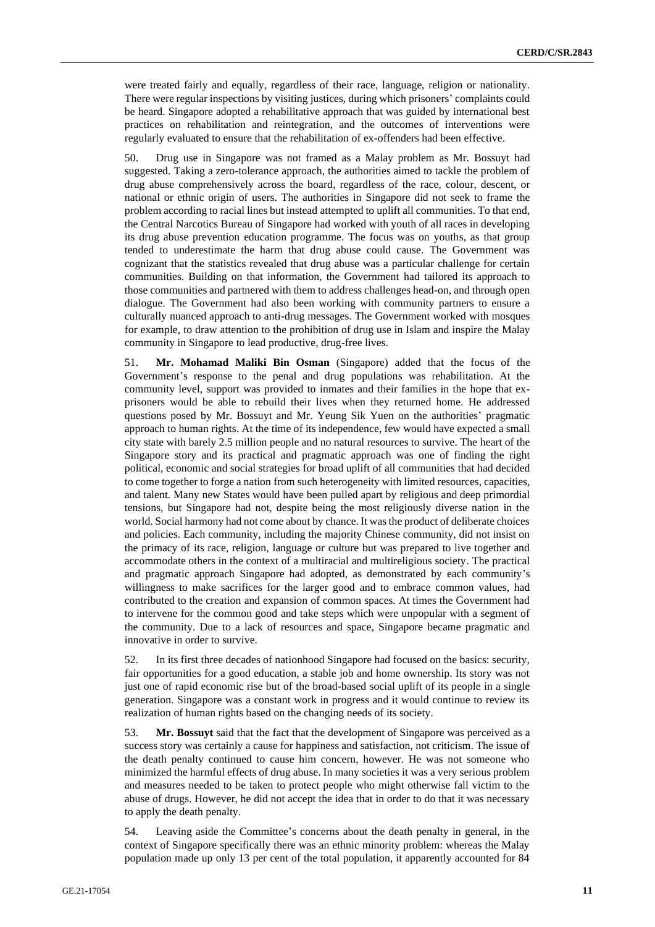were treated fairly and equally, regardless of their race, language, religion or nationality. There were regular inspections by visiting justices, during which prisoners' complaints could be heard. Singapore adopted a rehabilitative approach that was guided by international best practices on rehabilitation and reintegration, and the outcomes of interventions were regularly evaluated to ensure that the rehabilitation of ex-offenders had been effective.

50. Drug use in Singapore was not framed as a Malay problem as Mr. Bossuyt had suggested. Taking a zero-tolerance approach, the authorities aimed to tackle the problem of drug abuse comprehensively across the board, regardless of the race, colour, descent, or national or ethnic origin of users. The authorities in Singapore did not seek to frame the problem according to racial lines but instead attempted to uplift all communities. To that end, the Central Narcotics Bureau of Singapore had worked with youth of all races in developing its drug abuse prevention education programme. The focus was on youths, as that group tended to underestimate the harm that drug abuse could cause. The Government was cognizant that the statistics revealed that drug abuse was a particular challenge for certain communities. Building on that information, the Government had tailored its approach to those communities and partnered with them to address challenges head-on, and through open dialogue. The Government had also been working with community partners to ensure a culturally nuanced approach to anti-drug messages. The Government worked with mosques for example, to draw attention to the prohibition of drug use in Islam and inspire the Malay community in Singapore to lead productive, drug-free lives.

51. **Mr. Mohamad Maliki Bin Osman** (Singapore) added that the focus of the Government's response to the penal and drug populations was rehabilitation. At the community level, support was provided to inmates and their families in the hope that exprisoners would be able to rebuild their lives when they returned home. He addressed questions posed by Mr. Bossuyt and Mr. Yeung Sik Yuen on the authorities' pragmatic approach to human rights. At the time of its independence, few would have expected a small city state with barely 2.5 million people and no natural resources to survive. The heart of the Singapore story and its practical and pragmatic approach was one of finding the right political, economic and social strategies for broad uplift of all communities that had decided to come together to forge a nation from such heterogeneity with limited resources, capacities, and talent. Many new States would have been pulled apart by religious and deep primordial tensions, but Singapore had not, despite being the most religiously diverse nation in the world. Social harmony had not come about by chance. It was the product of deliberate choices and policies. Each community, including the majority Chinese community, did not insist on the primacy of its race, religion, language or culture but was prepared to live together and accommodate others in the context of a multiracial and multireligious society. The practical and pragmatic approach Singapore had adopted, as demonstrated by each community's willingness to make sacrifices for the larger good and to embrace common values, had contributed to the creation and expansion of common spaces. At times the Government had to intervene for the common good and take steps which were unpopular with a segment of the community. Due to a lack of resources and space, Singapore became pragmatic and innovative in order to survive.

52. In its first three decades of nationhood Singapore had focused on the basics: security, fair opportunities for a good education, a stable job and home ownership. Its story was not just one of rapid economic rise but of the broad-based social uplift of its people in a single generation. Singapore was a constant work in progress and it would continue to review its realization of human rights based on the changing needs of its society.

53. **Mr. Bossuyt** said that the fact that the development of Singapore was perceived as a success story was certainly a cause for happiness and satisfaction, not criticism. The issue of the death penalty continued to cause him concern, however. He was not someone who minimized the harmful effects of drug abuse. In many societies it was a very serious problem and measures needed to be taken to protect people who might otherwise fall victim to the abuse of drugs. However, he did not accept the idea that in order to do that it was necessary to apply the death penalty.

54. Leaving aside the Committee's concerns about the death penalty in general, in the context of Singapore specifically there was an ethnic minority problem: whereas the Malay population made up only 13 per cent of the total population, it apparently accounted for 84